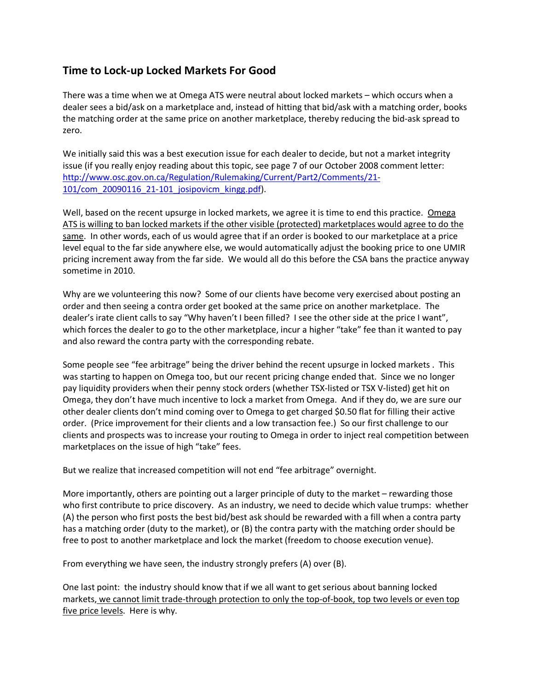## Time to Lock-up Locked Markets For Good

There was a time when we at Omega ATS were neutral about locked markets – which occurs when a dealer sees a bid/ask on a marketplace and, instead of hitting that bid/ask with a matching order, books the matching order at the same price on another marketplace, thereby reducing the bid-ask spread to zero.

We initially said this was a best execution issue for each dealer to decide, but not a market integrity issue (if you really enjoy reading about this topic, see page 7 of our October 2008 comment letter: http://www.osc.gov.on.ca/Regulation/Rulemaking/Current/Part2/Comments/21- 101/com\_20090116\_21-101\_josipovicm\_kingg.pdf).

Well, based on the recent upsurge in locked markets, we agree it is time to end this practice. Omega ATS is willing to ban locked markets if the other visible (protected) marketplaces would agree to do the same. In other words, each of us would agree that if an order is booked to our marketplace at a price level equal to the far side anywhere else, we would automatically adjust the booking price to one UMIR pricing increment away from the far side. We would all do this before the CSA bans the practice anyway sometime in 2010.

Why are we volunteering this now? Some of our clients have become very exercised about posting an order and then seeing a contra order get booked at the same price on another marketplace. The dealer's irate client calls to say "Why haven't I been filled? I see the other side at the price I want", which forces the dealer to go to the other marketplace, incur a higher "take" fee than it wanted to pay and also reward the contra party with the corresponding rebate.

Some people see "fee arbitrage" being the driver behind the recent upsurge in locked markets . This was starting to happen on Omega too, but our recent pricing change ended that. Since we no longer pay liquidity providers when their penny stock orders (whether TSX-listed or TSX V-listed) get hit on Omega, they don't have much incentive to lock a market from Omega. And if they do, we are sure our other dealer clients don't mind coming over to Omega to get charged \$0.50 flat for filling their active order. (Price improvement for their clients and a low transaction fee.) So our first challenge to our clients and prospects was to increase your routing to Omega in order to inject real competition between marketplaces on the issue of high "take" fees.

But we realize that increased competition will not end "fee arbitrage" overnight.

More importantly, others are pointing out a larger principle of duty to the market – rewarding those who first contribute to price discovery. As an industry, we need to decide which value trumps: whether (A) the person who first posts the best bid/best ask should be rewarded with a fill when a contra party has a matching order (duty to the market), or (B) the contra party with the matching order should be free to post to another marketplace and lock the market (freedom to choose execution venue).

From everything we have seen, the industry strongly prefers (A) over (B).

One last point: the industry should know that if we all want to get serious about banning locked markets, we cannot limit trade-through protection to only the top-of-book, top two levels or even top five price levels. Here is why.